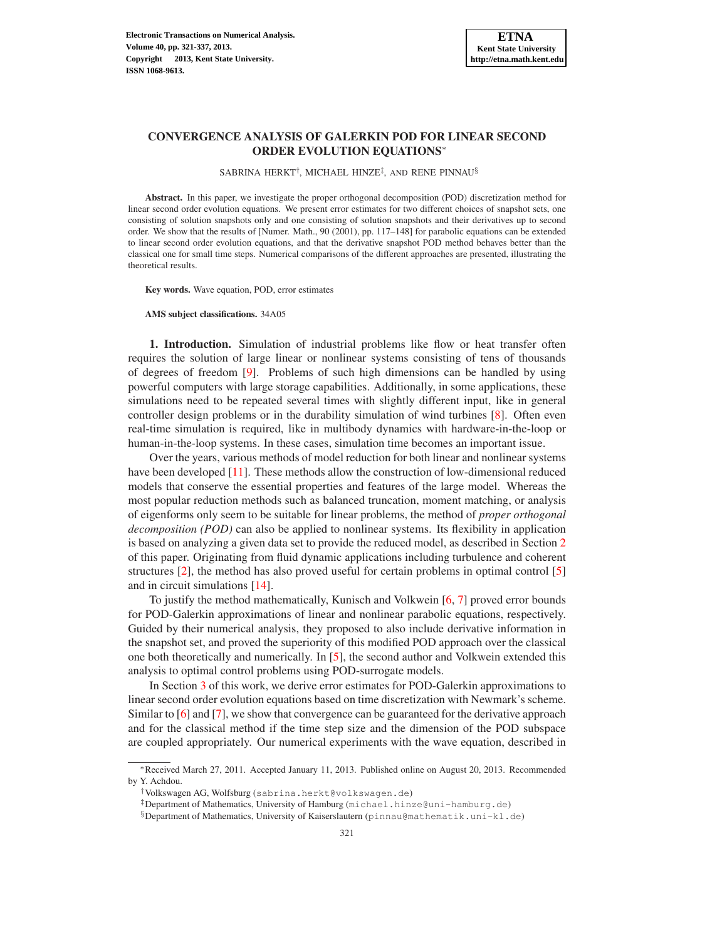SABRINA HERKT<sup>†</sup>, MICHAEL HINZE<sup>‡</sup>, AND RENE PINNAU<sup>§</sup>

Abstract. In this paper, we investigate the proper orthogonal decomposition (POD) discretization method for linear second order evolution equations. We present error estimates for two different choices of snapshot sets, one consisting of solution snapshots only and one consisting of solution snapshots and their derivatives up to second order. We show that the results of [Numer. Math., 90 (2001), pp. 117–148] for parabolic equations can be extended to linear second order evolution equations, and that the derivative snapshot POD method behaves better than the classical one for small time steps. Numerical comparisons of the different approaches are presented, illustrating the theoretical results.

Key words. Wave equation, POD, error estimates

AMS subject classifications. 34A05

1. Introduction. Simulation of industrial problems like flow or heat transfer often requires the solution of large linear or nonlinear systems consisting of tens of thousands of degrees of freedom [\[9\]](#page-15-0). Problems of such high dimensions can be handled by using powerful computers with large storage capabilities. Additionally, in some applications, these simulations need to be repeated several times with slightly different input, like in general controller design problems or in the durability simulation of wind turbines [\[8\]](#page-15-1). Often even real-time simulation is required, like in multibody dynamics with hardware-in-the-loop or human-in-the-loop systems. In these cases, simulation time becomes an important issue.

Over the years, various methods of model reduction for both linear and nonlinear systems have been developed [\[11](#page-15-2)]. These methods allow the construction of low-dimensional reduced models that conserve the essential properties and features of the large model. Whereas the most popular reduction methods such as balanced truncation, moment matching, or analysis of eigenforms only seem to be suitable for linear problems, the method of *proper orthogonal decomposition (POD)* can also be applied to nonlinear systems. Its flexibility in application is based on analyzing a given data set to provide the reduced model, as described in Section [2](#page-1-0) of this paper. Originating from fluid dynamic applications including turbulence and coherent structures [\[2\]](#page-15-3), the method has also proved useful for certain problems in optimal control [\[5\]](#page-15-4) and in circuit simulations [\[14\]](#page-16-0).

To justify the method mathematically, Kunisch and Volkwein [\[6,](#page-15-5) [7\]](#page-15-6) proved error bounds for POD-Galerkin approximations of linear and nonlinear parabolic equations, respectively. Guided by their numerical analysis, they proposed to also include derivative information in the snapshot set, and proved the superiority of this modified POD approach over the classical one both theoretically and numerically. In [\[5\]](#page-15-4), the second author and Volkwein extended this analysis to optimal control problems using POD-surrogate models.

In Section [3](#page-3-0) of this work, we derive error estimates for POD-Galerkin approximations to linear second order evolution equations based on time discretization with Newmark's scheme. Similar to [\[6](#page-15-5)] and [\[7\]](#page-15-6), we show that convergence can be guaranteed for the derivative approach and for the classical method if the time step size and the dimension of the POD subspace are coupled appropriately. Our numerical experiments with the wave equation, described in

<sup>∗</sup>Received March 27, 2011. Accepted January 11, 2013. Published online on August 20, 2013. Recommended by Y. Achdou.

<sup>†</sup>Volkswagen AG, Wolfsburg (sabrina.herkt@volkswagen.de)

<sup>‡</sup>Department of Mathematics, University of Hamburg (michael.hinze@uni-hamburg.de)

 $\S$ Department of Mathematics, University of Kaiserslautern (pinnau@mathematik.uni-kl.de)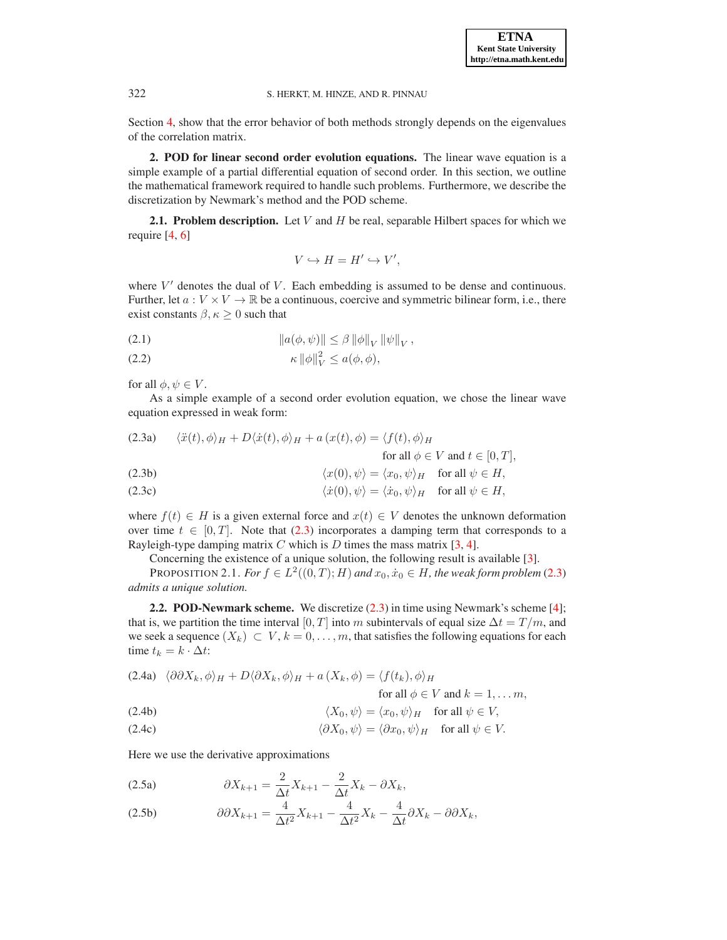Section [4,](#page-12-0) show that the error behavior of both methods strongly depends on the eigenvalues of the correlation matrix.

<span id="page-1-0"></span>2. POD for linear second order evolution equations. The linear wave equation is a simple example of a partial differential equation of second order. In this section, we outline the mathematical framework required to handle such problems. Furthermore, we describe the discretization by Newmark's method and the POD scheme.

**2.1. Problem description.** Let  $V$  and  $H$  be real, separable Hilbert spaces for which we require [\[4](#page-15-7), [6\]](#page-15-5)

<span id="page-1-1"></span>
$$
V\hookrightarrow H=H'\hookrightarrow V',
$$

where  $V'$  denotes the dual of  $V$ . Each embedding is assumed to be dense and continuous. Further, let  $a: V \times V \to \mathbb{R}$  be a continuous, coercive and symmetric bilinear form, i.e., there exist constants  $\beta, \kappa \geq 0$  such that

(2.1) 
$$
\|a(\phi,\psi)\| \leq \beta \|\phi\|_{V} \|\psi\|_{V},
$$

$$
\kappa \|\phi\|_V^2 \le a(\phi, \phi),
$$

for all  $\phi, \psi \in V$ .

As a simple example of a second order evolution equation, we chose the linear wave equation expressed in weak form:

(2.3a) 
$$
\langle \ddot{x}(t), \phi \rangle_H + D \langle \dot{x}(t), \phi \rangle_H + a (x(t), \phi) = \langle f(t), \phi \rangle_H
$$
  
for all  $\phi \in V$  and  $t \in [0, T]$ ,

(2.3b) 
$$
\langle x(0), \psi \rangle = \langle x_0, \psi \rangle_H \text{ for all } \psi \in H,
$$

(2.3c) 
$$
\langle \dot{x}(0), \psi \rangle = \langle \dot{x}_0, \psi \rangle_H \text{ for all } \psi \in H,
$$

where  $f(t) \in H$  is a given external force and  $x(t) \in V$  denotes the unknown deformation over time  $t \in [0, T]$ . Note that [\(2.3\)](#page-1-1) incorporates a damping term that corresponds to a Rayleigh-type damping matrix  $C$  which is  $D$  times the mass matrix [\[3](#page-15-8), [4](#page-15-7)].

Concerning the existence of a unique solution, the following result is available [\[3](#page-15-8)].

PROPOSITION 2.1. *For*  $f \in L^2((0,T); H)$  and  $x_0, \dot{x}_0 \in H$ , the weak form problem [\(2.3\)](#page-1-1) *admits a unique solution.*

2.2. POD-Newmark scheme. We discretize [\(2.3\)](#page-1-1) in time using Newmark's scheme [\[4\]](#page-15-7); that is, we partition the time interval [0, T] into m subintervals of equal size  $\Delta t = T/m$ , and we seek a sequence  $(X_k) \subset V$ ,  $k = 0, \ldots, m$ , that satisfies the following equations for each time  $t_k = k \cdot \Delta t$ :

<span id="page-1-2"></span>(2.4a) 
$$
\langle \partial \partial X_k, \phi \rangle_H + D \langle \partial X_k, \phi \rangle_H + a(X_k, \phi) = \langle f(t_k), \phi \rangle_H
$$
  
for all  $\phi \in V$  and  $k = 1, \dots, m$ 

(2.4b) 
$$
\langle X_0, \psi \rangle = \langle x_0, \psi \rangle_H \quad \text{for all } \psi \in V,
$$

(2.4c) 
$$
\langle \partial X_0, \psi \rangle = \langle \partial x_0, \psi \rangle_H \text{ for all } \psi \in V.
$$

Here we use the derivative approximations

<span id="page-1-3"></span>
$$
(2.5a) \t\t \partial X_{k+1} = \frac{2}{\Delta t} X_{k+1} - \frac{2}{\Delta t} X_k - \partial X_k,
$$

(2.5b) 
$$
\partial \partial X_{k+1} = \frac{4}{\Delta t^2} X_{k+1} - \frac{4}{\Delta t^2} X_k - \frac{4}{\Delta t} \partial X_k - \partial \partial X_k,
$$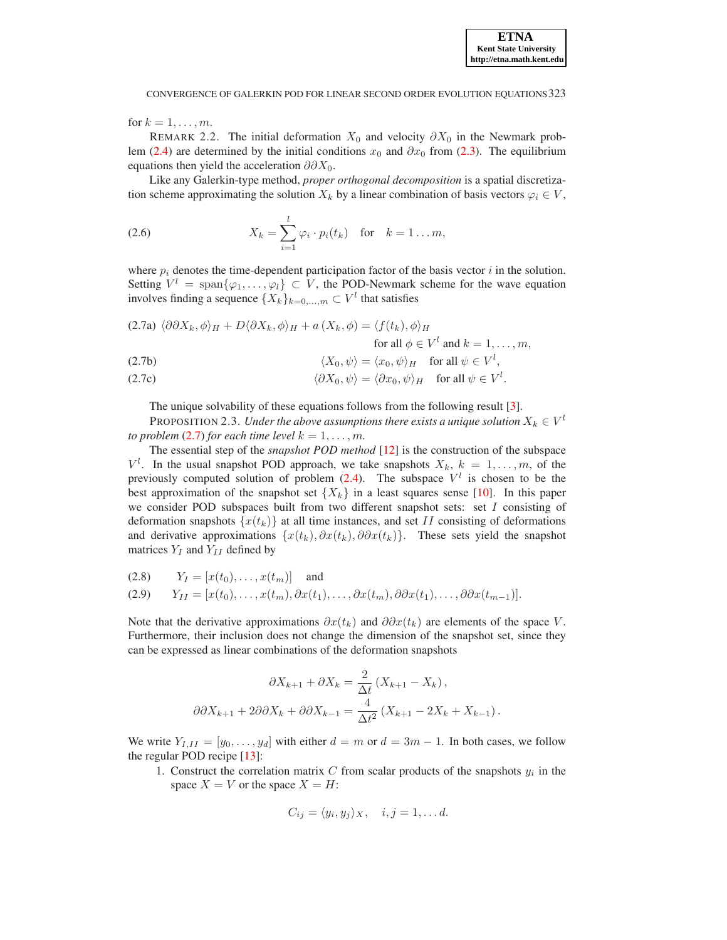for  $k = 1, \ldots, m$ .

REMARK 2.2. The initial deformation  $X_0$  and velocity  $\partial X_0$  in the Newmark prob-lem [\(2.4\)](#page-1-2) are determined by the initial conditions  $x_0$  and  $\partial x_0$  from [\(2.3\)](#page-1-1). The equilibrium equations then yield the acceleration  $\partial \partial X_0$ .

Like any Galerkin-type method, *proper orthogonal decomposition* is a spatial discretization scheme approximating the solution  $X_k$  by a linear combination of basis vectors  $\varphi_i \in V$ ,

(2.6) 
$$
X_k = \sum_{i=1}^l \varphi_i \cdot p_i(t_k) \quad \text{for} \quad k = 1 \dots m,
$$

where  $p_i$  denotes the time-dependent participation factor of the basis vector i in the solution. Setting  $V^l = \text{span}\{\varphi_1, \dots, \varphi_l\} \subset V$ , the POD-Newmark scheme for the wave equation involves finding a sequence  $\{X_k\}_{k=0,\dots,m} \subset V^l$  that satisfies

<span id="page-2-0"></span>
$$
(2.7a) \ \langle \partial \partial X_k, \phi \rangle_H + D \langle \partial X_k, \phi \rangle_H + a \left( X_k, \phi \right) = \langle f(t_k), \phi \rangle_H
$$
  
for all  $\phi \in V^l$  and  $k = 1, ..., m$ ,

(2.7b) 
$$
\langle X_0, \psi \rangle = \langle x_0, \psi \rangle_H \quad \text{for all } \psi \in V^l,
$$

(2.7c) 
$$
\langle \partial X_0, \psi \rangle = \langle \partial x_0, \psi \rangle_H \quad \text{for all } \psi \in V^l.
$$

The unique solvability of these equations follows from the following result [\[3\]](#page-15-8).

PROPOSITION 2.3. *Under the above assumptions there exists a unique solution*  $X_k \in V^l$ *to problem* [\(2.7\)](#page-2-0) *for each time level*  $k = 1, \ldots, m$ *.* 

The essential step of the *snapshot POD method* [\[12\]](#page-15-9) is the construction of the subspace  $V^l$ . In the usual snapshot POD approach, we take snapshots  $X_k$ ,  $k = 1, \ldots, m$ , of the previously computed solution of problem  $(2.4)$ . The subspace  $V^l$  is chosen to be the best approximation of the snapshot set  ${X_k}$  in a least squares sense [\[10\]](#page-15-10). In this paper we consider POD subspaces built from two different snapshot sets: set  $I$  consisting of deformation snapshots  $\{x(t_k)\}\$  at all time instances, and set II consisting of deformations and derivative approximations  $\{x(t_k), \partial x(t_k), \partial \partial x(t_k)\}\$ . These sets yield the snapshot matrices  $Y_I$  and  $Y_{II}$  defined by

(2.8) 
$$
Y_I = [x(t_0), \dots, x(t_m)]
$$
 and  
(2.9)  $Y_{II} = [x(t_0), \dots, x(t_m), \partial x(t_1), \dots, \partial x(t_m), \partial \partial x(t_1), \dots, \partial \partial x(t_{m-1})].$ 

Note that the derivative approximations  $\partial x(t_k)$  and  $\partial \partial x(t_k)$  are elements of the space V. Furthermore, their inclusion does not change the dimension of the snapshot set, since they can be expressed as linear combinations of the deformation snapshots

$$
\partial X_{k+1} + \partial X_k = \frac{2}{\Delta t} (X_{k+1} - X_k),
$$

$$
\partial \partial X_{k+1} + 2\partial \partial X_k + \partial \partial X_{k-1} = \frac{4}{\Delta t^2} (X_{k+1} - 2X_k + X_{k-1}).
$$

We write  $Y_{I,II} = [y_0, \ldots, y_d]$  with either  $d = m$  or  $d = 3m - 1$ . In both cases, we follow the regular POD recipe [\[13\]](#page-15-11):

1. Construct the correlation matrix  $C$  from scalar products of the snapshots  $y_i$  in the space  $X = V$  or the space  $X = H$ :

$$
C_{ij} = \langle y_i, y_j \rangle_X, \quad i, j = 1, \dots d.
$$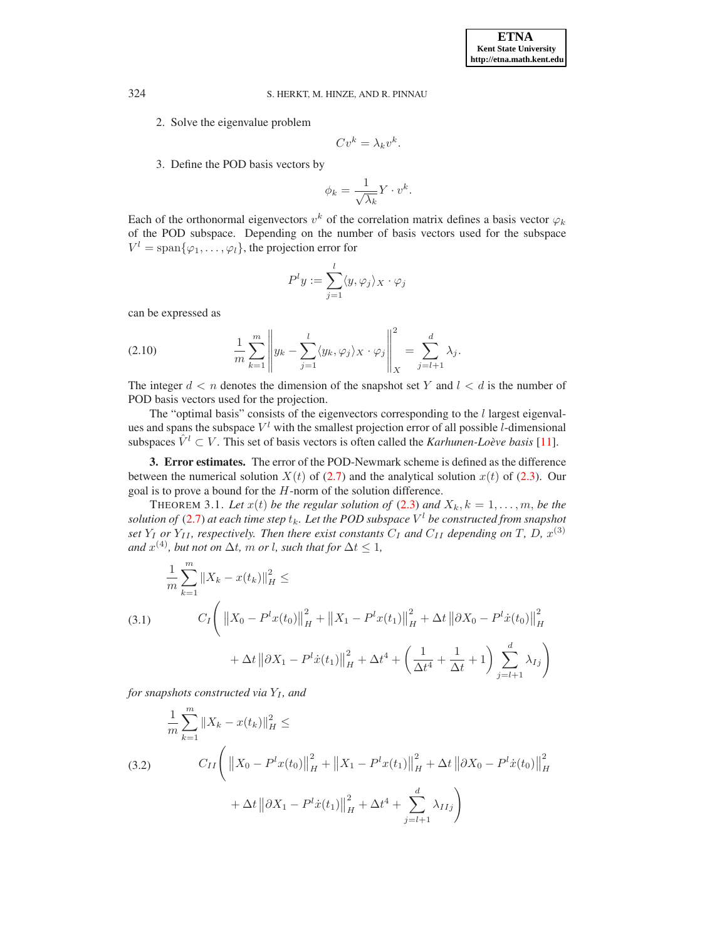2. Solve the eigenvalue problem

$$
Cv^k = \lambda_k v^k.
$$

3. Define the POD basis vectors by

$$
\phi_k = \frac{1}{\sqrt{\lambda_k}} Y \cdot v^k.
$$

Each of the orthonormal eigenvectors  $v^k$  of the correlation matrix defines a basis vector  $\varphi_k$ of the POD subspace. Depending on the number of basis vectors used for the subspace  $V^l = \text{span}\{\varphi_1, \dots, \varphi_l\}$ , the projection error for

<span id="page-3-1"></span>
$$
P^ly := \sum_{j=1}^l \langle y, \varphi_j \rangle_X \cdot \varphi_j
$$

can be expressed as

(2.10) 
$$
\frac{1}{m}\sum_{k=1}^{m} \left\| y_k - \sum_{j=1}^{l} \langle y_k, \varphi_j \rangle_X \cdot \varphi_j \right\|_X^2 = \sum_{j=l+1}^{d} \lambda_j.
$$

The integer  $d < n$  denotes the dimension of the snapshot set Y and  $l < d$  is the number of POD basis vectors used for the projection.

The "optimal basis" consists of the eigenvectors corresponding to the  $l$  largest eigenvalues and spans the subspace  $V^l$  with the smallest projection error of all possible *l*-dimensional subspaces  $\hat{V}^l \subset V$ . This set of basis vectors is often called the *Karhunen-Loève basis* [\[11](#page-15-2)].

<span id="page-3-0"></span>3. Error estimates. The error of the POD-Newmark scheme is defined as the difference between the numerical solution  $X(t)$  of [\(2.7\)](#page-2-0) and the analytical solution  $x(t)$  of [\(2.3\)](#page-1-1). Our goal is to prove a bound for the  $H$ -norm of the solution difference.

THEOREM 3.1. Let  $x(t)$  be the regular solution of [\(2.3\)](#page-1-1) and  $X_k$ ,  $k = 1, \ldots, m$ , be the  $s$ olution of [\(2.7\)](#page-2-0) at each time step  $t_k$ . Let the POD subspace  $V^l$  be constructed from snapshot *set*  $Y_I$  *or*  $Y_{II}$ *, respectively. Then there exist constants*  $C_I$  *and*  $C_{II}$  *depending on* T*, D,*  $x^{(3)}$ and  $x^{(4)}$ *, but not on*  $\Delta t$ *, m or l, such that for*  $\Delta t \leq 1$ *,* 

$$
\frac{1}{m} \sum_{k=1}^{m} \|X_k - x(t_k)\|_{H}^{2} \le
$$
\n(3.1) 
$$
C_I \left( \|X_0 - P^l x(t_0)\|_{H}^{2} + \|X_1 - P^l x(t_1)\|_{H}^{2} + \Delta t \|\partial X_0 - P^l \dot{x}(t_0)\|_{H}^{2} + \Delta t \|\partial X_1 - P^l \dot{x}(t_1)\|_{H}^{2} + \Delta t^{4} + \left(\frac{1}{\Delta t^{4}} + \frac{1}{\Delta t} + 1\right) \sum_{j=l+1}^{d} \lambda_{Ij} \right)
$$

*for snapshots constructed via*  $Y_I$ *, and* 

(3.2)  
\n
$$
\frac{1}{m} \sum_{k=1}^{m} \|X_k - x(t_k)\|_{H}^{2} \le
$$
\n
$$
C_{II} \left( \|X_0 - P^l x(t_0)\|_{H}^{2} + \|X_1 - P^l x(t_1)\|_{H}^{2} + \Delta t \|\partial X_0 - P^l x(t_0)\|_{H}^{2} + \Delta t \|\partial X_1 - P^l x(t_1)\|_{H}^{2} + \Delta t^{4} + \sum_{j=l+1}^{d} \lambda_{IIj} \right)
$$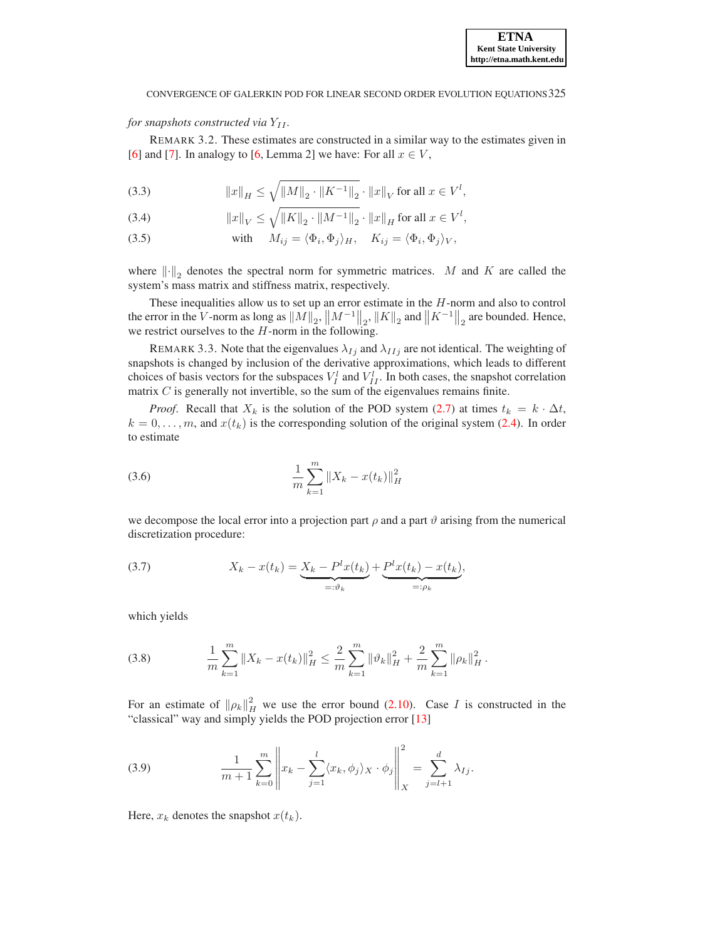## *for snapshots constructed via*  $Y_{II}$ *.*

REMARK 3.2. These estimates are constructed in a similar way to the estimates given in [\[6](#page-15-5)] and [\[7](#page-15-6)]. In analogy to [\[6](#page-15-5), Lemma 2] we have: For all  $x \in V$ ,

(3.3) 
$$
||x||_H \le \sqrt{||M||_2 \cdot ||K^{-1}||_2} \cdot ||x||_V \text{ for all } x \in V^l,
$$

(3.4) 
$$
||x||_V \le \sqrt{||K||_2 \cdot ||M^{-1}||_2} \cdot ||x||_H \text{ for all } x \in V^l,
$$

(3.5) with 
$$
M_{ij} = \langle \Phi_i, \Phi_j \rangle_H
$$
,  $K_{ij} = \langle \Phi_i, \Phi_j \rangle_V$ ,

where  $\left\| \cdot \right\|_2$  denotes the spectral norm for symmetric matrices. M and K are called the system's mass matrix and stiffness matrix, respectively.

These inequalities allow us to set up an error estimate in the  $H$ -norm and also to control the error in the V-norm as long as  $||M||_2$ ,  $||M^{-1}||_2$ ,  $||K||_2$  and  $||K^{-1}||_2$  are bounded. Hence, we restrict ourselves to the  $H$ -norm in the following.

REMARK 3.3. Note that the eigenvalues  $\lambda_{Ij}$  and  $\lambda_{IIj}$  are not identical. The weighting of snapshots is changed by inclusion of the derivative approximations, which leads to different choices of basis vectors for the subspaces  $V_I^l$  and  $V_{II}^l$ . In both cases, the snapshot correlation matrix  $C$  is generally not invertible, so the sum of the eigenvalues remains finite.

*Proof.* Recall that  $X_k$  is the solution of the POD system [\(2.7\)](#page-2-0) at times  $t_k = k \cdot \Delta t$ ,  $k = 0, \ldots, m$ , and  $x(t_k)$  is the corresponding solution of the original system [\(2.4\)](#page-1-2). In order to estimate

(3.6) 
$$
\frac{1}{m}\sum_{k=1}^{m}||X_{k}-x(t_{k})||_{H}^{2}
$$

we decompose the local error into a projection part  $\rho$  and a part  $\vartheta$  arising from the numerical discretization procedure:

(3.7) 
$$
X_k - x(t_k) = \underbrace{X_k - P^l x(t_k)}_{=: \vartheta_k} + \underbrace{P^l x(t_k) - x(t_k)}_{=: \rho_k},
$$

which yields

(3.8) 
$$
\frac{1}{m}\sum_{k=1}^{m}||X_{k}-x(t_{k})||_{H}^{2} \leq \frac{2}{m}\sum_{k=1}^{m}||\vartheta_{k}||_{H}^{2} + \frac{2}{m}\sum_{k=1}^{m}||\rho_{k}||_{H}^{2}.
$$

For an estimate of  $\|\rho_k\|_H^2$  we use the error bound [\(2.10\)](#page-3-1). Case I is constructed in the "classical" way and simply yields the POD projection error [\[13\]](#page-15-11)

(3.9) 
$$
\frac{1}{m+1} \sum_{k=0}^{m} \left\| x_k - \sum_{j=1}^{l} \langle x_k, \phi_j \rangle_X \cdot \phi_j \right\|_X^2 = \sum_{j=l+1}^{d} \lambda_{Ij}.
$$

Here,  $x_k$  denotes the snapshot  $x(t_k)$ .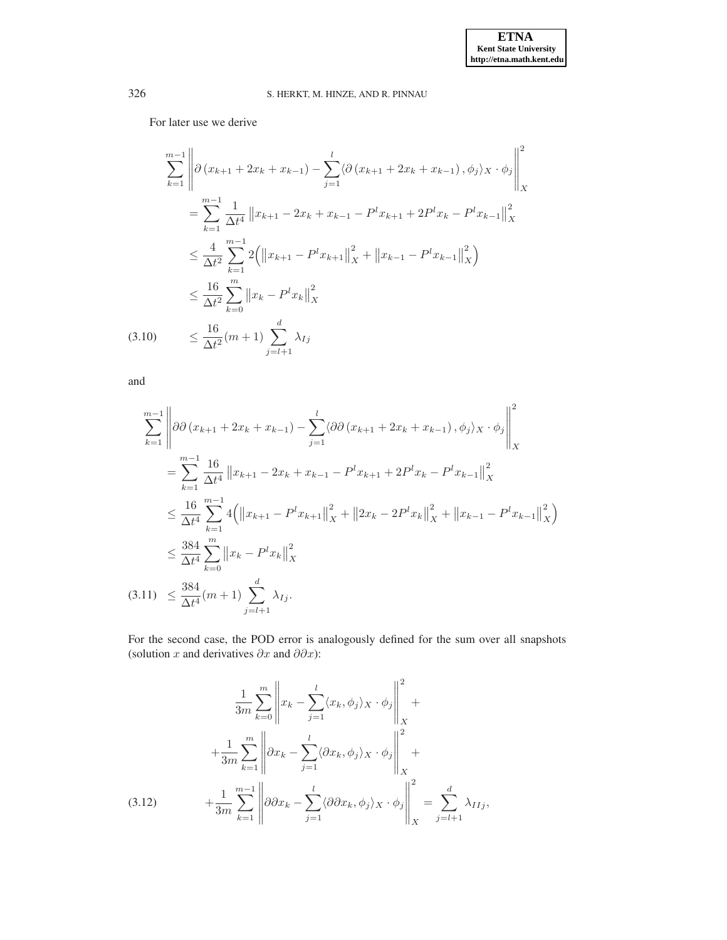For later use we derive

$$
\sum_{k=1}^{m-1} \left\| \partial \left( x_{k+1} + 2x_k + x_{k-1} \right) - \sum_{j=1}^{l} \langle \partial \left( x_{k+1} + 2x_k + x_{k-1} \right), \phi_j \rangle_X \cdot \phi_j \right\|_X^2
$$
\n
$$
= \sum_{k=1}^{m-1} \frac{1}{\Delta t^4} \left\| x_{k+1} - 2x_k + x_{k-1} - P^l x_{k+1} + 2P^l x_k - P^l x_{k-1} \right\|_X^2
$$
\n
$$
\leq \frac{4}{\Delta t^2} \sum_{k=1}^{m-1} 2 \left( \left\| x_{k+1} - P^l x_{k+1} \right\|_X^2 + \left\| x_{k-1} - P^l x_{k-1} \right\|_X^2 \right)
$$
\n
$$
\leq \frac{16}{\Delta t^2} \sum_{k=0}^{m} \left\| x_k - P^l x_k \right\|_X^2
$$
\n(3.10) 
$$
\leq \frac{16}{\Delta t^2} (m+1) \sum_{j=l+1}^{d} \lambda_{Ij}
$$

<span id="page-5-0"></span>and

$$
\sum_{k=1}^{m-1} \left\| \partial \partial (x_{k+1} + 2x_k + x_{k-1}) - \sum_{j=1}^{l} \langle \partial \partial (x_{k+1} + 2x_k + x_{k-1}), \phi_j \rangle_X \cdot \phi_j \right\|_X^2
$$
\n
$$
= \sum_{k=1}^{m-1} \frac{16}{\Delta t^4} \left\| x_{k+1} - 2x_k + x_{k-1} - P^l x_{k+1} + 2P^l x_k - P^l x_{k-1} \right\|_X^2
$$
\n
$$
\leq \frac{16}{\Delta t^4} \sum_{k=1}^{m-1} 4 \left( \left\| x_{k+1} - P^l x_{k+1} \right\|_X^2 + \left\| 2x_k - 2P^l x_k \right\|_X^2 + \left\| x_{k-1} - P^l x_{k-1} \right\|_X^2 \right)
$$
\n
$$
\leq \frac{384}{\Delta t^4} \sum_{k=0}^{m} \left\| x_k - P^l x_k \right\|_X^2
$$
\n(3.11) 
$$
\leq \frac{384}{\Delta t^4} (m+1) \sum_{j=l+1}^{d} \lambda_{j}.
$$

<span id="page-5-1"></span>For the second case, the POD error is analogously defined for the sum over all snapshots (solution x and derivatives  $\partial x$  and  $\partial \partial x$ ):

$$
\frac{1}{3m} \sum_{k=0}^{m} \left\| x_k - \sum_{j=1}^{l} \langle x_k, \phi_j \rangle_X \cdot \phi_j \right\|_X^2 +
$$
  
+ 
$$
\frac{1}{3m} \sum_{k=1}^{m} \left\| \partial x_k - \sum_{j=1}^{l} \langle \partial x_k, \phi_j \rangle_X \cdot \phi_j \right\|_X^2 +
$$
  
(3.12) 
$$
+ \frac{1}{3m} \sum_{k=1}^{m-1} \left\| \partial \partial x_k - \sum_{j=1}^{l} \langle \partial \partial x_k, \phi_j \rangle_X \cdot \phi_j \right\|_X^2 = \sum_{j=l+1}^{d} \lambda_{IIj},
$$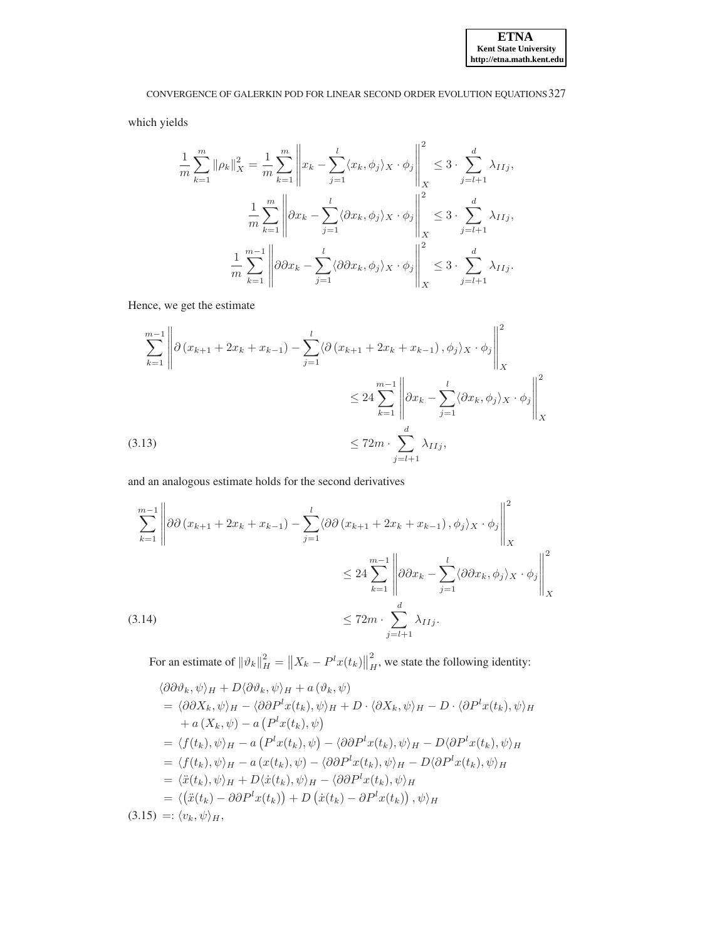which yields

$$
\frac{1}{m}\sum_{k=1}^{m} \|\rho_k\|_X^2 = \frac{1}{m}\sum_{k=1}^{m} \left\|x_k - \sum_{j=1}^{l} \langle x_k, \phi_j \rangle_X \cdot \phi_j \right\|_X^2 \le 3 \cdot \sum_{j=l+1}^{d} \lambda_{IIj},
$$

$$
\frac{1}{m}\sum_{k=1}^{m} \left\| \partial x_k - \sum_{j=1}^{l} \langle \partial x_k, \phi_j \rangle_X \cdot \phi_j \right\|_X^2 \le 3 \cdot \sum_{j=l+1}^{d} \lambda_{IIj},
$$

$$
\frac{1}{m}\sum_{k=1}^{m-1} \left\| \partial \partial x_k - \sum_{j=1}^{l} \langle \partial \partial x_k, \phi_j \rangle_X \cdot \phi_j \right\|_X^2 \le 3 \cdot \sum_{j=l+1}^{d} \lambda_{IIj}.
$$

Hence, we get the estimate

<span id="page-6-1"></span>
$$
\sum_{k=1}^{m-1} \left\| \partial \left( x_{k+1} + 2x_k + x_{k-1} \right) - \sum_{j=1}^l \langle \partial \left( x_{k+1} + 2x_k + x_{k-1} \right), \phi_j \rangle_X \cdot \phi_j \right\|_X^2
$$
  

$$
\leq 24 \sum_{k=1}^{m-1} \left\| \partial x_k - \sum_{j=1}^l \langle \partial x_k, \phi_j \rangle_X \cdot \phi_j \right\|_X^2
$$
  
(3.13)  

$$
\leq 72m \cdot \sum_{j=l+1}^d \lambda_{IIj},
$$

and an analogous estimate holds for the second derivatives

<span id="page-6-2"></span>
$$
\sum_{k=1}^{m-1} \left\| \partial \partial (x_{k+1} + 2x_k + x_{k-1}) - \sum_{j=1}^l \langle \partial \partial (x_{k+1} + 2x_k + x_{k-1}), \phi_j \rangle_X \cdot \phi_j \right\|_X^2
$$
  

$$
\leq 24 \sum_{k=1}^{m-1} \left\| \partial \partial x_k - \sum_{j=1}^l \langle \partial \partial x_k, \phi_j \rangle_X \cdot \phi_j \right\|_X^2
$$
  

$$
\leq 72m \cdot \sum_{j=l+1}^d \lambda_{IIj}.
$$

For an estimate of  $\|\vartheta_k\|_H^2 = \|X_k - P^l x(t_k)\|_F^2$  $H<sub>H</sub>$ , we state the following identity:  $h$ <sup>2</sup>  $h$  + D<sub>1</sub>  $\theta$ <sub>2</sub>  $h$  +  $\theta$  (a<sup>0</sup>  $\theta$ )

<span id="page-6-0"></span>
$$
\langle \partial \partial \psi_k, \psi \rangle_H + D \langle \partial \psi_k, \psi \rangle_H + a (\psi_k, \psi)
$$
  
\n
$$
= \langle \partial \partial X_k, \psi \rangle_H - \langle \partial \partial P^l x(t_k), \psi \rangle_H + D \cdot \langle \partial X_k, \psi \rangle_H - D \cdot \langle \partial P^l x(t_k), \psi \rangle_H
$$
  
\n
$$
+ a (X_k, \psi) - a (P^l x(t_k), \psi)
$$
  
\n
$$
= \langle f(t_k), \psi \rangle_H - a (P^l x(t_k), \psi) - \langle \partial \partial P^l x(t_k), \psi \rangle_H - D \langle \partial P^l x(t_k), \psi \rangle_H
$$
  
\n
$$
= \langle f(t_k), \psi \rangle_H - a (x(t_k), \psi) - \langle \partial \partial P^l x(t_k), \psi \rangle_H - D \langle \partial P^l x(t_k), \psi \rangle_H
$$
  
\n
$$
= \langle \ddot{x}(t_k), \psi \rangle_H + D \langle \dot{x}(t_k), \psi \rangle_H - \langle \partial \partial P^l x(t_k), \psi \rangle_H
$$
  
\n
$$
= \langle (\ddot{x}(t_k) - \partial \partial P^l x(t_k)) + D (\dot{x}(t_k) - \partial P^l x(t_k)), \psi \rangle_H
$$
  
\n(3.15) =:  $\langle v_k, \psi \rangle_H$ ,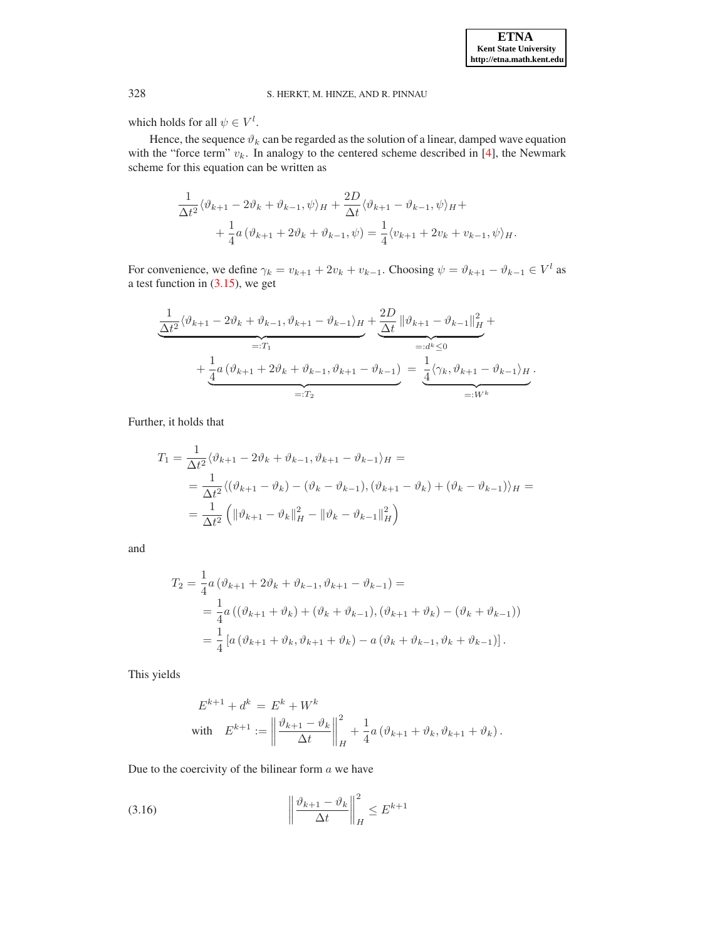which holds for all  $\psi \in V^l$ .

Hence, the sequence  $\vartheta_k$  can be regarded as the solution of a linear, damped wave equation with the "force term"  $v_k$ . In analogy to the centered scheme described in [\[4](#page-15-7)], the Newmark scheme for this equation can be written as

$$
\frac{1}{\Delta t^2} \langle \vartheta_{k+1} - 2\vartheta_k + \vartheta_{k-1}, \psi \rangle_H + \frac{2D}{\Delta t} \langle \vartheta_{k+1} - \vartheta_{k-1}, \psi \rangle_H + \n+ \frac{1}{4} a \left( \vartheta_{k+1} + 2\vartheta_k + \vartheta_{k-1}, \psi \right) = \frac{1}{4} \langle v_{k+1} + 2v_k + v_{k-1}, \psi \rangle_H.
$$

For convenience, we define  $\gamma_k = v_{k+1} + 2v_k + v_{k-1}$ . Choosing  $\psi = \vartheta_{k+1} - \vartheta_{k-1} \in V^l$  as a test function in [\(3.15\)](#page-6-0), we get

$$
\underbrace{\frac{1}{\Delta t^2} \langle \vartheta_{k+1} - 2\vartheta_k + \vartheta_{k-1}, \vartheta_{k+1} - \vartheta_{k-1} \rangle_H}_{=:T_1} + \underbrace{\frac{2D}{\Delta t} \|\vartheta_{k+1} - \vartheta_{k-1}\|_H^2}_{=:d^k \leq 0} + \underbrace{\frac{1}{4} a \left(\vartheta_{k+1} + 2\vartheta_k + \vartheta_{k-1}, \vartheta_{k+1} - \vartheta_{k-1}\right)}_{=:T_2} = \underbrace{\frac{1}{4} \langle \gamma_k, \vartheta_{k+1} - \vartheta_{k-1} \rangle_H}_{=:W^k}.
$$

Further, it holds that

$$
T_1 = \frac{1}{\Delta t^2} \langle \vartheta_{k+1} - 2\vartheta_k + \vartheta_{k-1}, \vartheta_{k+1} - \vartheta_{k-1} \rangle_H =
$$
  
=  $\frac{1}{\Delta t^2} \langle (\vartheta_{k+1} - \vartheta_k) - (\vartheta_k - \vartheta_{k-1}), (\vartheta_{k+1} - \vartheta_k) + (\vartheta_k - \vartheta_{k-1}) \rangle_H =$   
=  $\frac{1}{\Delta t^2} \left( \| \vartheta_{k+1} - \vartheta_k \|_H^2 - \| \vartheta_k - \vartheta_{k-1} \|_H^2 \right)$ 

and

$$
T_2 = \frac{1}{4} a (\vartheta_{k+1} + 2\vartheta_k + \vartheta_{k-1}, \vartheta_{k+1} - \vartheta_{k-1}) =
$$
  
=  $\frac{1}{4} a ((\vartheta_{k+1} + \vartheta_k) + (\vartheta_k + \vartheta_{k-1}), (\vartheta_{k+1} + \vartheta_k) - (\vartheta_k + \vartheta_{k-1}))$   
=  $\frac{1}{4} [a (\vartheta_{k+1} + \vartheta_k, \vartheta_{k+1} + \vartheta_k) - a (\vartheta_k + \vartheta_{k-1}, \vartheta_k + \vartheta_{k-1})].$ 

This yields

$$
E^{k+1} + d^k = E^k + W^k
$$
  
with 
$$
E^{k+1} := \left\| \frac{\vartheta_{k+1} - \vartheta_k}{\Delta t} \right\|_H^2 + \frac{1}{4} a \left( \vartheta_{k+1} + \vartheta_k, \vartheta_{k+1} + \vartheta_k \right).
$$

Due to the coercivity of the bilinear form  $a$  we have

$$
(3.16)\qquad \qquad \left\|\frac{\vartheta_{k+1} - \vartheta_k}{\Delta t}\right\|_H^2 \le E^{k+1}
$$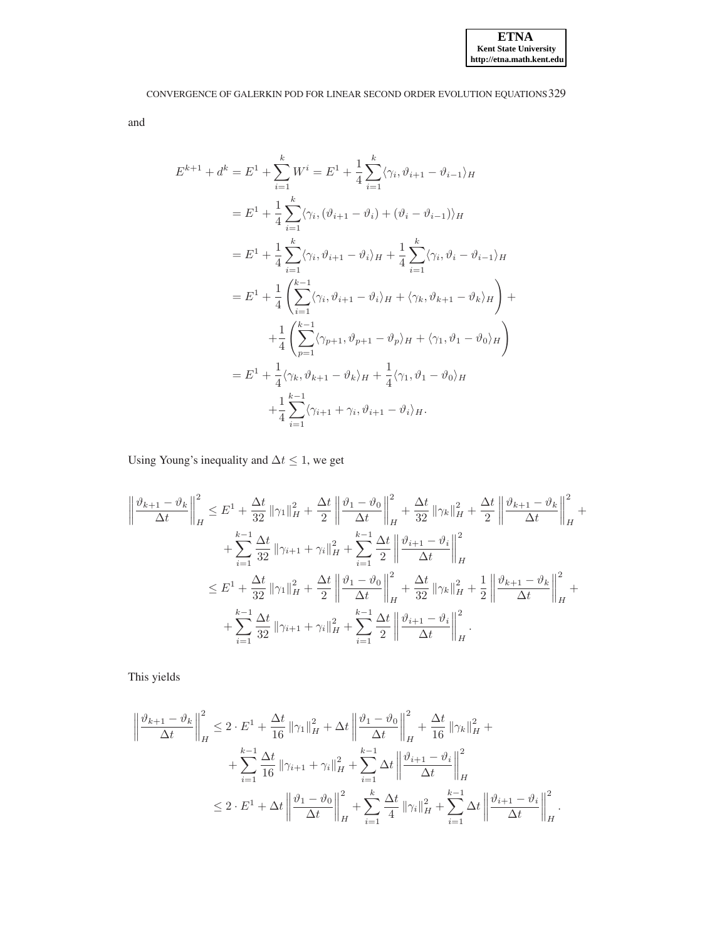and

$$
E^{k+1} + d^k = E^1 + \sum_{i=1}^k W^i = E^1 + \frac{1}{4} \sum_{i=1}^k \langle \gamma_i, \vartheta_{i+1} - \vartheta_{i-1} \rangle_H
$$
  
\n
$$
= E^1 + \frac{1}{4} \sum_{i=1}^k \langle \gamma_i, (\vartheta_{i+1} - \vartheta_i) + (\vartheta_i - \vartheta_{i-1}) \rangle_H
$$
  
\n
$$
= E^1 + \frac{1}{4} \sum_{i=1}^k \langle \gamma_i, \vartheta_{i+1} - \vartheta_i \rangle_H + \frac{1}{4} \sum_{i=1}^k \langle \gamma_i, \vartheta_i - \vartheta_{i-1} \rangle_H
$$
  
\n
$$
= E^1 + \frac{1}{4} \left( \sum_{i=1}^{k-1} \langle \gamma_i, \vartheta_{i+1} - \vartheta_i \rangle_H + \langle \gamma_k, \vartheta_{k+1} - \vartheta_k \rangle_H \right) +
$$
  
\n
$$
+ \frac{1}{4} \left( \sum_{p=1}^{k-1} \langle \gamma_{p+1}, \vartheta_{p+1} - \vartheta_p \rangle_H + \langle \gamma_1, \vartheta_1 - \vartheta_0 \rangle_H \right)
$$
  
\n
$$
= E^1 + \frac{1}{4} \langle \gamma_k, \vartheta_{k+1} - \vartheta_k \rangle_H + \frac{1}{4} \langle \gamma_1, \vartheta_1 - \vartheta_0 \rangle_H
$$
  
\n
$$
+ \frac{1}{4} \sum_{i=1}^{k-1} \langle \gamma_{i+1} + \gamma_i, \vartheta_{i+1} - \vartheta_i \rangle_H.
$$

Using Young's inequality and  $\Delta t \leq 1$ , we get

$$
\left\|\frac{\vartheta_{k+1} - \vartheta_k}{\Delta t}\right\|_H^2 \leq E^1 + \frac{\Delta t}{32} \|\gamma_1\|_H^2 + \frac{\Delta t}{2} \left\|\frac{\vartheta_1 - \vartheta_0}{\Delta t}\right\|_H^2 + \frac{\Delta t}{32} \|\gamma_k\|_H^2 + \frac{\Delta t}{2} \left\|\frac{\vartheta_{k+1} - \vartheta_k}{\Delta t}\right\|_H^2 + \sum_{i=1}^{k-1} \frac{\Delta t}{32} \|\gamma_{i+1} + \gamma_i\|_H^2 + \sum_{i=1}^{k-1} \frac{\Delta t}{2} \left\|\frac{\vartheta_{i+1} - \vartheta_i}{\Delta t}\right\|_H^2 + \sum_{i=1}^{k-1} \frac{\Delta t}{32} \left\|\frac{\vartheta_{i+1} - \vartheta_i}{\Delta t}\right\|_H^2 + \sum_{i=1}^{k-1} \frac{\Delta t}{32} \|\gamma_1\|_H^2 + \frac{\Delta t}{2} \left\|\frac{\vartheta_1 - \vartheta_0}{\Delta t}\right\|_H^2 + \frac{\Delta t}{32} \|\gamma_k\|_H^2 + \frac{1}{2} \left\|\frac{\vartheta_{k+1} - \vartheta_k}{\Delta t}\right\|_H^2 + \sum_{i=1}^{k-1} \frac{\Delta t}{32} \|\gamma_{i+1} + \gamma_i\|_H^2 + \sum_{i=1}^{k-1} \frac{\Delta t}{2} \left\|\frac{\vartheta_{i+1} - \vartheta_i}{\Delta t}\right\|_H^2.
$$

This yields

$$
\left\| \frac{\vartheta_{k+1} - \vartheta_k}{\Delta t} \right\|_H^2 \le 2 \cdot E^1 + \frac{\Delta t}{16} \|\gamma_1\|_H^2 + \Delta t \left\| \frac{\vartheta_1 - \vartheta_0}{\Delta t} \right\|_H^2 + \frac{\Delta t}{16} \|\gamma_k\|_H^2 + + \sum_{i=1}^{k-1} \frac{\Delta t}{16} \|\gamma_{i+1} + \gamma_i\|_H^2 + \sum_{i=1}^{k-1} \Delta t \left\| \frac{\vartheta_{i+1} - \vartheta_i}{\Delta t} \right\|_H^2 \le 2 \cdot E^1 + \Delta t \left\| \frac{\vartheta_1 - \vartheta_0}{\Delta t} \right\|_H^2 + \sum_{i=1}^k \frac{\Delta t}{4} \|\gamma_i\|_H^2 + \sum_{i=1}^{k-1} \Delta t \left\| \frac{\vartheta_{i+1} - \vartheta_i}{\Delta t} \right\|_H^2.
$$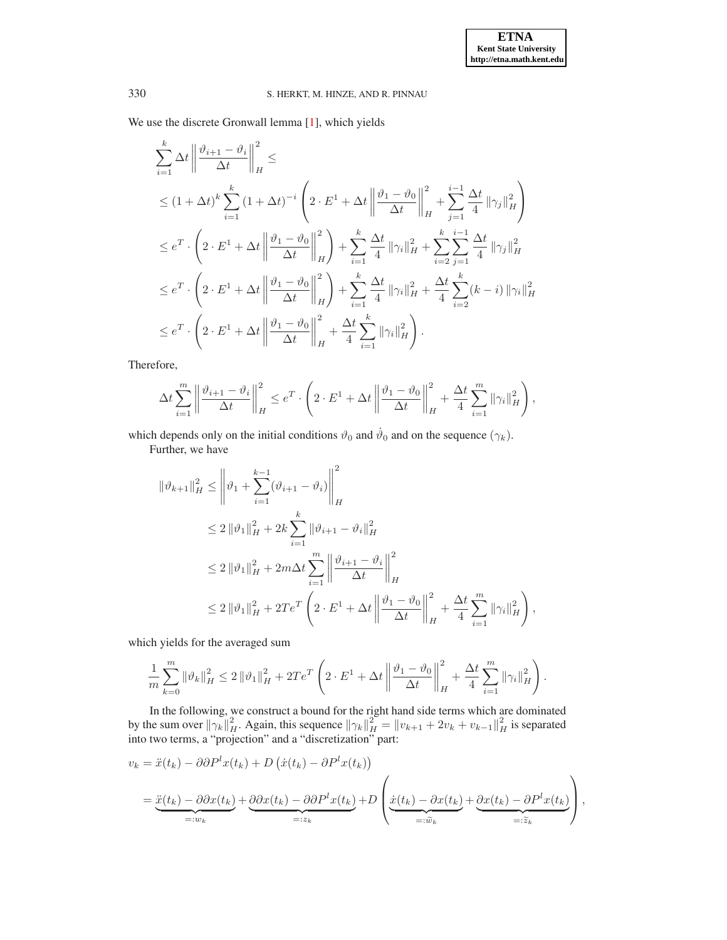We use the discrete Gronwall lemma [\[1](#page-15-12)], which yields

$$
\sum_{i=1}^{k} \Delta t \left\| \frac{\vartheta_{i+1} - \vartheta_i}{\Delta t} \right\|_{H}^{2} \le
$$
\n
$$
\leq (1 + \Delta t)^{k} \sum_{i=1}^{k} (1 + \Delta t)^{-i} \left( 2 \cdot E^{1} + \Delta t \left\| \frac{\vartheta_{1} - \vartheta_{0}}{\Delta t} \right\|_{H}^{2} + \sum_{j=1}^{i-1} \frac{\Delta t}{4} \left\| \gamma_{j} \right\|_{H}^{2} \right)
$$
\n
$$
\leq e^{T} \cdot \left( 2 \cdot E^{1} + \Delta t \left\| \frac{\vartheta_{1} - \vartheta_{0}}{\Delta t} \right\|_{H}^{2} \right) + \sum_{i=1}^{k} \frac{\Delta t}{4} \left\| \gamma_{i} \right\|_{H}^{2} + \sum_{i=2}^{k} \sum_{j=1}^{i-1} \frac{\Delta t}{4} \left\| \gamma_{j} \right\|_{H}^{2}
$$
\n
$$
\leq e^{T} \cdot \left( 2 \cdot E^{1} + \Delta t \left\| \frac{\vartheta_{1} - \vartheta_{0}}{\Delta t} \right\|_{H}^{2} \right) + \sum_{i=1}^{k} \frac{\Delta t}{4} \left\| \gamma_{i} \right\|_{H}^{2} + \frac{\Delta t}{4} \sum_{i=2}^{k} (k - i) \left\| \gamma_{i} \right\|_{H}^{2}
$$
\n
$$
\leq e^{T} \cdot \left( 2 \cdot E^{1} + \Delta t \left\| \frac{\vartheta_{1} - \vartheta_{0}}{\Delta t} \right\|_{H}^{2} + \frac{\Delta t}{4} \sum_{i=1}^{k} \left\| \gamma_{i} \right\|_{H}^{2} \right).
$$

Therefore,

$$
\Delta t \sum_{i=1}^m \left\| \frac{\vartheta_{i+1} - \vartheta_i}{\Delta t} \right\|_H^2 \le e^T \cdot \left( 2 \cdot E^1 + \Delta t \left\| \frac{\vartheta_1 - \vartheta_0}{\Delta t} \right\|_H^2 + \frac{\Delta t}{4} \sum_{i=1}^m \|\gamma_i\|_H^2 \right),
$$

which depends only on the initial conditions  $\vartheta_0$  and  $\dot{\vartheta}_0$  and on the sequence  $(\gamma_k)$ .

Further, we have

$$
\|\vartheta_{k+1}\|_{H}^{2} \leq \left\|\vartheta_{1} + \sum_{i=1}^{k-1} (\vartheta_{i+1} - \vartheta_{i})\right\|_{H}^{2}
$$
  
\n
$$
\leq 2 \|\vartheta_{1}\|_{H}^{2} + 2k \sum_{i=1}^{k} \|\vartheta_{i+1} - \vartheta_{i}\|_{H}^{2}
$$
  
\n
$$
\leq 2 \|\vartheta_{1}\|_{H}^{2} + 2m\Delta t \sum_{i=1}^{m} \left\|\frac{\vartheta_{i+1} - \vartheta_{i}}{\Delta t}\right\|_{H}^{2}
$$
  
\n
$$
\leq 2 \|\vartheta_{1}\|_{H}^{2} + 2T e^{T} \left(2 \cdot E^{1} + \Delta t \left\|\frac{\vartheta_{1} - \vartheta_{0}}{\Delta t}\right\|_{H}^{2} + \frac{\Delta t}{4} \sum_{i=1}^{m} \|\gamma_{i}\|_{H}^{2}\right),
$$

which yields for the averaged sum

$$
\frac{1}{m}\sum_{k=0}^{m} \|\vartheta_k\|_H^2 \le 2 \|\vartheta_1\|_H^2 + 2Te^T \left(2 \cdot E^1 + \Delta t \left\| \frac{\vartheta_1 - \vartheta_0}{\Delta t} \right\|_H^2 + \frac{\Delta t}{4} \sum_{i=1}^{m} \|\gamma_i\|_H^2 \right).
$$

In the following, we construct a bound for the right hand side terms which are dominated by the sum over  $\|\gamma_k\|_H^2$ . Again, this sequence  $\|\gamma_k\|_H^2 = \|v_{k+1} + 2v_k + v_{k-1}\|_H^2$  is separated into two terms, a "projection" and a "discretization" part:

$$
v_k = \ddot{x}(t_k) - \partial \partial P^l x(t_k) + D(\dot{x}(t_k) - \partial P^l x(t_k))
$$
  
= 
$$
\underbrace{\ddot{x}(t_k) - \partial \partial x(t_k)}_{=:w_k} + \underbrace{\partial \partial x(t_k) - \partial \partial P^l x(t_k)}_{=:z_k} + D\left(\underbrace{\dot{x}(t_k) - \partial x(t_k)}_{=: \tilde{w}_k} + \underbrace{\partial x(t_k) - \partial P^l x(t_k)}_{=: \tilde{z}_k}\right),
$$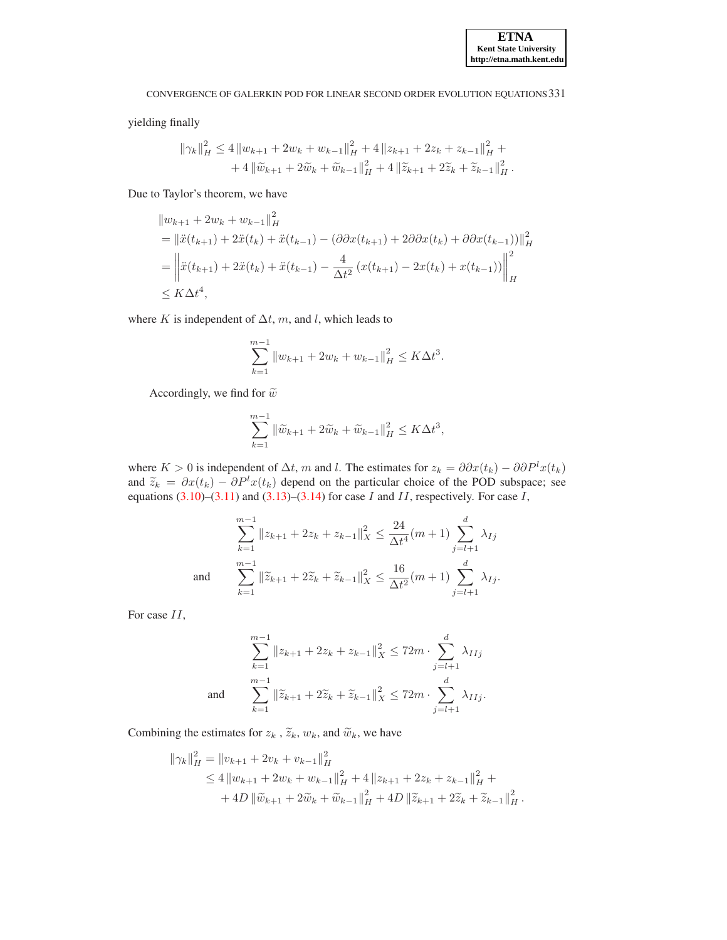yielding finally

$$
\|\gamma_k\|_H^2 \le 4 \|w_{k+1} + 2w_k + w_{k-1}\|_H^2 + 4 \|z_{k+1} + 2z_k + z_{k-1}\|_H^2 + 4 \|\widetilde{w}_{k+1} + 2\widetilde{w}_k + \widetilde{w}_{k-1}\|_H^2 + 4 \|\widetilde{z}_{k+1} + 2\widetilde{z}_k + \widetilde{z}_{k-1}\|_H^2.
$$

Due to Taylor's theorem, we have

$$
||w_{k+1} + 2w_k + w_{k-1}||_H^2
$$
  
=  $||\ddot{x}(t_{k+1}) + 2\ddot{x}(t_k) + \ddot{x}(t_{k-1}) - (\partial \partial x(t_{k+1}) + 2\partial \partial x(t_k) + \partial \partial x(t_{k-1}))||_H^2$   
=  $||\ddot{x}(t_{k+1}) + 2\ddot{x}(t_k) + \ddot{x}(t_{k-1}) - \frac{4}{\Delta t^2} (x(t_{k+1}) - 2x(t_k) + x(t_{k-1}))||_H^2$   
 $\leq K\Delta t^4$ ,

where K is independent of  $\Delta t$ , m, and l, which leads to

$$
\sum_{k=1}^{m-1} \|w_{k+1} + 2w_k + w_{k-1}\|_H^2 \le K\Delta t^3.
$$

Accordingly, we find for  $\tilde{w}$ 

$$
\sum_{k=1}^{m-1} \|\widetilde{w}_{k+1} + 2\widetilde{w}_k + \widetilde{w}_{k-1}\|_{H}^2 \le K\Delta t^3,
$$

where K > 0 is independent of  $\Delta t$ , m and l. The estimates for  $z_k = \partial \partial x(t_k) - \partial \partial P^l x(t_k)$ and  $\tilde{z}_k = \partial x(t_k) - \partial P^l x(t_k)$  depend on the particular choice of the POD subspace; see equations  $(3.10)$ – $(3.11)$  and  $(3.13)$ – $(3.14)$  for case I and II, respectively. For case I,

$$
\sum_{k=1}^{m-1} \|z_{k+1} + 2z_k + z_{k-1}\|_X^2 \le \frac{24}{\Delta t^4} (m+1) \sum_{j=l+1}^d \lambda_{Ij}
$$
  
and 
$$
\sum_{k=1}^{m-1} \|\widetilde{z}_{k+1} + 2\widetilde{z}_k + \widetilde{z}_{k-1}\|_X^2 \le \frac{16}{\Delta t^2} (m+1) \sum_{j=l+1}^d \lambda_{Ij}.
$$

For case II,

$$
\sum_{k=1}^{m-1} \|z_{k+1} + 2z_k + z_{k-1}\|_X^2 \le 72m \cdot \sum_{j=l+1}^d \lambda_{IIj}
$$
  
and 
$$
\sum_{k=1}^{m-1} \|\widetilde{z}_{k+1} + 2\widetilde{z}_k + \widetilde{z}_{k-1}\|_X^2 \le 72m \cdot \sum_{j=l+1}^d \lambda_{IIj}.
$$

Combining the estimates for  $z_k$ ,  $\tilde{z}_k$ ,  $w_k$ , and  $\tilde{w}_k$ , we have

$$
\|\gamma_k\|_H^2 = \|v_{k+1} + 2v_k + v_{k-1}\|_H^2
$$
  
\n
$$
\leq 4 \|w_{k+1} + 2w_k + w_{k-1}\|_H^2 + 4 \|z_{k+1} + 2z_k + z_{k-1}\|_H^2 +
$$
  
\n
$$
+ 4D \|\widetilde{w}_{k+1} + 2\widetilde{w}_k + \widetilde{w}_{k-1}\|_H^2 + 4D \|\widetilde{z}_{k+1} + 2\widetilde{z}_k + \widetilde{z}_{k-1}\|_H^2.
$$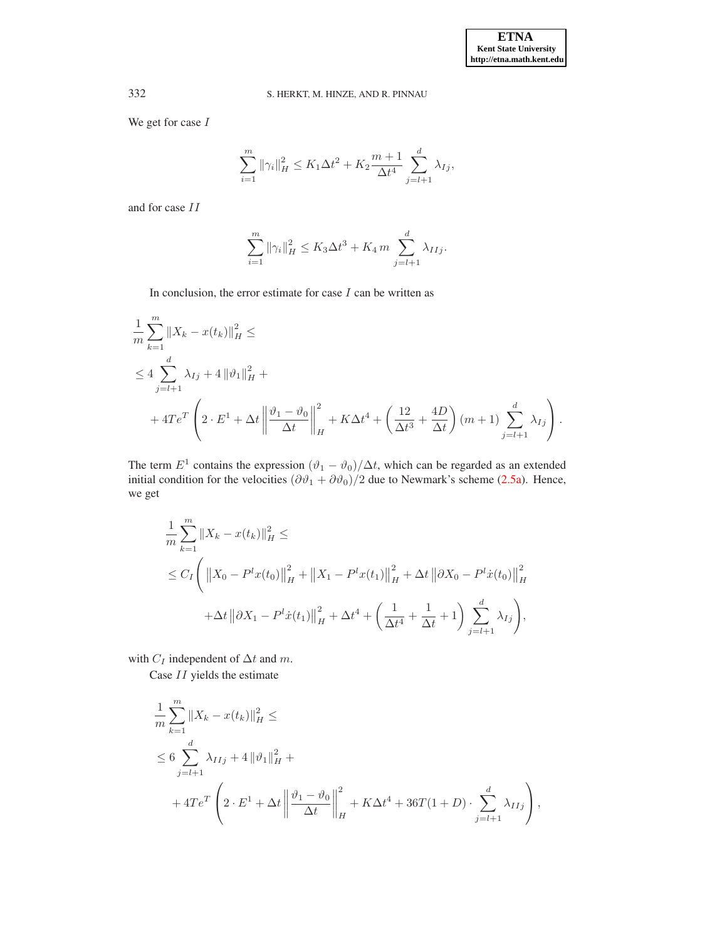We get for case  $\mathcal I$ 

$$
\sum_{i=1}^{m} \|\gamma_i\|_H^2 \le K_1 \Delta t^2 + K_2 \frac{m+1}{\Delta t^4} \sum_{j=l+1}^d \lambda_{Ij},
$$

and for case II

$$
\sum_{i=1}^{m} \|\gamma_i\|_H^2 \le K_3 \Delta t^3 + K_4 m \sum_{j=l+1}^{d} \lambda_{IIj}.
$$

In conclusion, the error estimate for case  $I$  can be written as

$$
\frac{1}{m} \sum_{k=1}^{m} \|X_k - x(t_k)\|_{H}^{2} \le
$$
\n
$$
\le 4 \sum_{j=l+1}^{d} \lambda_{Ij} + 4 \|\vartheta_{1}\|_{H}^{2} +
$$
\n
$$
+ 4Te^{T} \left( 2 \cdot E^{1} + \Delta t \left\| \frac{\vartheta_{1} - \vartheta_{0}}{\Delta t} \right\|_{H}^{2} + K\Delta t^{4} + \left( \frac{12}{\Delta t^{3}} + \frac{4D}{\Delta t} \right) (m+1) \sum_{j=l+1}^{d} \lambda_{Ij} \right).
$$

The term  $E^1$  contains the expression  $(\vartheta_1 - \vartheta_0)/\Delta t$ , which can be regarded as an extended initial condition for the velocities  $(\partial \vartheta_1 + \partial \vartheta_0)/2$  due to Newmark's scheme [\(2.5a\)](#page-1-3). Hence, we get

$$
\frac{1}{m} \sum_{k=1}^{m} \|X_{k} - x(t_{k})\|_{H}^{2} \le
$$
\n
$$
\le C_{I} \left( \|X_{0} - P^{l}x(t_{0})\|_{H}^{2} + \|X_{1} - P^{l}x(t_{1})\|_{H}^{2} + \Delta t \|\partial X_{0} - P^{l}\dot{x}(t_{0})\|_{H}^{2} + \Delta t \|\partial X_{1} - P^{l}\dot{x}(t_{1})\|_{H}^{2} + \Delta t^{4} + \left(\frac{1}{\Delta t^{4}} + \frac{1}{\Delta t} + 1\right) \sum_{j=l+1}^{d} \lambda_{Ij} \right),
$$

with  $C_I$  independent of  $\Delta t$  and  $m$ .

Case II yields the estimate

$$
\frac{1}{m} \sum_{k=1}^{m} \|X_k - x(t_k)\|_{H}^{2} \le
$$
\n
$$
\leq 6 \sum_{j=l+1}^{d} \lambda_{IIj} + 4 \|\vartheta_1\|_{H}^{2} +
$$
\n
$$
+ 4Te^{T} \left(2 \cdot E^{1} + \Delta t \left\|\frac{\vartheta_1 - \vartheta_0}{\Delta t}\right\|_{H}^{2} + K\Delta t^{4} + 36T(1+D) \cdot \sum_{j=l+1}^{d} \lambda_{IIj}\right),
$$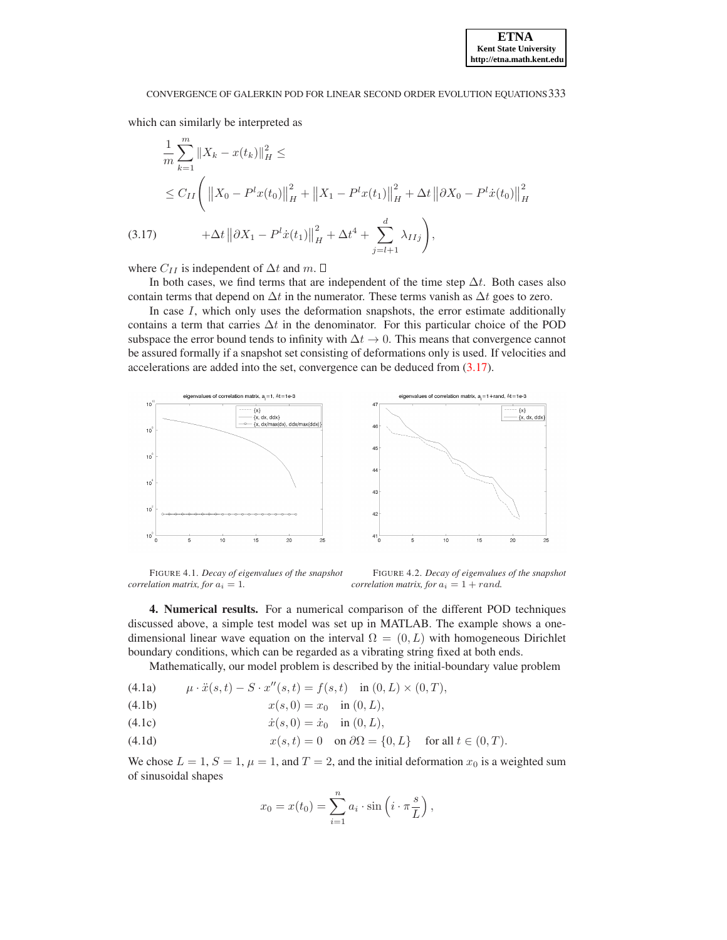which can similarly be interpreted as

<span id="page-12-1"></span>
$$
\frac{1}{m} \sum_{k=1}^{m} \|X_k - x(t_k)\|_{H}^{2} \le
$$
\n
$$
\le C_{II} \left( \|X_0 - P^l x(t_0)\|_{H}^{2} + \|X_1 - P^l x(t_1)\|_{H}^{2} + \Delta t \|\partial X_0 - P^l x(t_0)\|_{H}^{2} \right)
$$
\n(3.17)\n
$$
+ \Delta t \|\partial X_1 - P^l x(t_1)\|_{H}^{2} + \Delta t^{4} + \sum_{j=l+1}^{d} \lambda_{IIj} \right),
$$

where  $C_{II}$  is independent of  $\Delta t$  and  $m$ .  $\square$ 

In both cases, we find terms that are independent of the time step  $\Delta t$ . Both cases also contain terms that depend on  $\Delta t$  in the numerator. These terms vanish as  $\Delta t$  goes to zero.

In case  $I$ , which only uses the deformation snapshots, the error estimate additionally contains a term that carries  $\Delta t$  in the denominator. For this particular choice of the POD subspace the error bound tends to infinity with  $\Delta t \rightarrow 0$ . This means that convergence cannot be assured formally if a snapshot set consisting of deformations only is used. If velocities and accelerations are added into the set, convergence can be deduced from [\(3.17\)](#page-12-1).

<span id="page-12-0"></span>

<span id="page-12-2"></span>FIGURE 4.1. *Decay of eigenvalues of the snapshot correlation matrix, for*  $a_i = 1$ *.* 

<span id="page-12-3"></span>FIGURE 4.2. *Decay of eigenvalues of the snapshot correlation matrix, for*  $a_i = 1 + rand$ .

4. Numerical results. For a numerical comparison of the different POD techniques discussed above, a simple test model was set up in MATLAB. The example shows a onedimensional linear wave equation on the interval  $\Omega = (0, L)$  with homogeneous Dirichlet boundary conditions, which can be regarded as a vibrating string fixed at both ends.

Mathematically, our model problem is described by the initial-boundary value problem

(4.1a) 
$$
\mu \cdot \ddot{x}(s,t) - S \cdot x''(s,t) = f(s,t) \text{ in } (0, L) \times (0, T),
$$

(4.1b) 
$$
x(s, 0) = x_0 \text{ in } (0, L),
$$

(4.1c) 
$$
\dot{x}(s,0) = \dot{x}_0 \text{ in } (0,L),
$$

(4.1d)  $x(s, t) = 0$  on  $\partial\Omega = \{0, L\}$  for all  $t \in (0, T)$ .

We chose  $L = 1$ ,  $S = 1$ ,  $\mu = 1$ , and  $T = 2$ , and the initial deformation  $x_0$  is a weighted sum of sinusoidal shapes

$$
x_0 = x(t_0) = \sum_{i=1}^n a_i \cdot \sin\left(i \cdot \pi \frac{s}{L}\right),
$$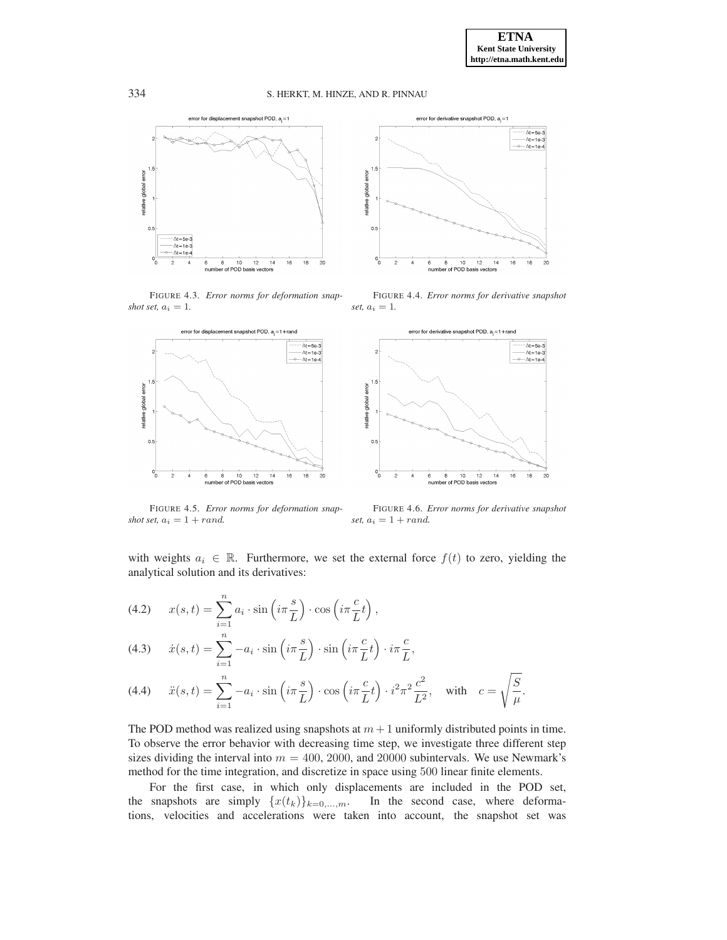$set, a_i = 1.$ 





<span id="page-13-1"></span>FIGURE 4.4. *Error norms for derivative snapshot*

 $\Delta t = 5e-3$ 

 $\xrightarrow{\Delta t}$ =1e-3<br>  $\xrightarrow{\Delta t}$ =1e-4

 $\frac{1}{18}$ 

<span id="page-13-3"></span> $\overline{16}$ 

<span id="page-13-0"></span>FIGURE 4.3. *Error norms for deformation snapshot set,*  $a_i = 1$ *.* 



<span id="page-13-2"></span>FIGURE 4.5. *Error norms for deformation snapshot set,*  $a_i = 1 + rand$ . FIGURE 4.6. *Error norms for derivative snapshot set,*  $a_i = 1 + rand$ .

with weights  $a_i \in \mathbb{R}$ . Furthermore, we set the external force  $f(t)$  to zero, yielding the analytical solution and its derivatives:

(4.2) 
$$
x(s,t) = \sum_{i=1}^{n} a_i \cdot \sin\left(i\pi \frac{s}{L}\right) \cdot \cos\left(i\pi \frac{c}{L}t\right),
$$

(4.3) 
$$
\dot{x}(s,t) = \sum_{i=1}^{n} -a_i \cdot \sin\left(i\pi \frac{s}{L}\right) \cdot \sin\left(i\pi \frac{c}{L}t\right) \cdot i\pi \frac{c}{L},
$$

(4.4) 
$$
\ddot{x}(s,t) = \sum_{i=1}^{n} -a_i \cdot \sin\left(i\pi \frac{s}{L}\right) \cdot \cos\left(i\pi \frac{c}{L}t\right) \cdot i^2 \pi^2 \frac{c^2}{L^2}, \text{ with } c = \sqrt{\frac{S}{\mu}}.
$$

The POD method was realized using snapshots at  $m + 1$  uniformly distributed points in time. To observe the error behavior with decreasing time step, we investigate three different step sizes dividing the interval into  $m = 400, 2000,$  and 20000 subintervals. We use Newmark's method for the time integration, and discretize in space using 500 linear finite elements.

For the first case, in which only displacements are included in the POD set, the snapshots are simply  $\{x(t_k)\}_{k=0,\dots,m}$ . In the second case, where deformations, velocities and accelerations were taken into account, the snapshot set was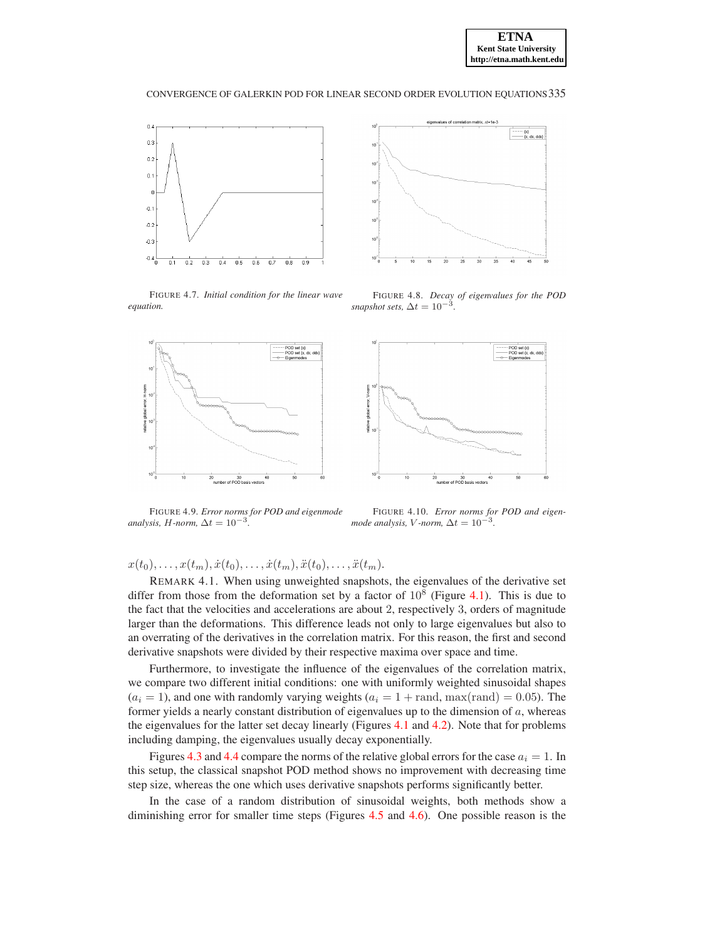



<span id="page-14-0"></span>FIGURE 4.7. *Initial condition for the linear wave equation.*



<span id="page-14-1"></span>FIGURE 4.8. *Decay of eigenvalues for the POD*  $s$ *napshot sets,*  $\Delta t = 10^{-3}$ .



<span id="page-14-2"></span>FIGURE 4.9. *Error norms for POD and eigenmode*  $analysis, H-norm, \Delta t = 10^{-3}$ .

<span id="page-14-3"></span>FIGURE 4.10. *Error norms for POD and eigenmode analysis, V* -*norm,*  $\Delta t = 10^{-3}$ .

 $x(t_0), \ldots, x(t_m), \dot{x}(t_0), \ldots, \dot{x}(t_m), \ddot{x}(t_0), \ldots, \ddot{x}(t_m).$ 

REMARK 4.1. When using unweighted snapshots, the eigenvalues of the derivative set differ from those from the deformation set by a factor of  $10^8$  (Figure [4.1\)](#page-12-2). This is due to the fact that the velocities and accelerations are about 2, respectively 3, orders of magnitude larger than the deformations. This difference leads not only to large eigenvalues but also to an overrating of the derivatives in the correlation matrix. For this reason, the first and second derivative snapshots were divided by their respective maxima over space and time.

Furthermore, to investigate the influence of the eigenvalues of the correlation matrix, we compare two different initial conditions: one with uniformly weighted sinusoidal shapes  $(a_i = 1)$ , and one with randomly varying weights  $(a_i = 1 + \text{rand}, \text{max}(\text{rand}) = 0.05)$ . The former yields a nearly constant distribution of eigenvalues up to the dimension of  $a$ , whereas the eigenvalues for the latter set decay linearly (Figures [4.1](#page-12-2) and [4.2\)](#page-12-3). Note that for problems including damping, the eigenvalues usually decay exponentially.

Figures [4.3](#page-13-0) and [4.4](#page-13-1) compare the norms of the relative global errors for the case  $a_i = 1$ . In this setup, the classical snapshot POD method shows no improvement with decreasing time step size, whereas the one which uses derivative snapshots performs significantly better.

In the case of a random distribution of sinusoidal weights, both methods show a diminishing error for smaller time steps (Figures [4.5](#page-13-2) and [4.6\)](#page-13-3). One possible reason is the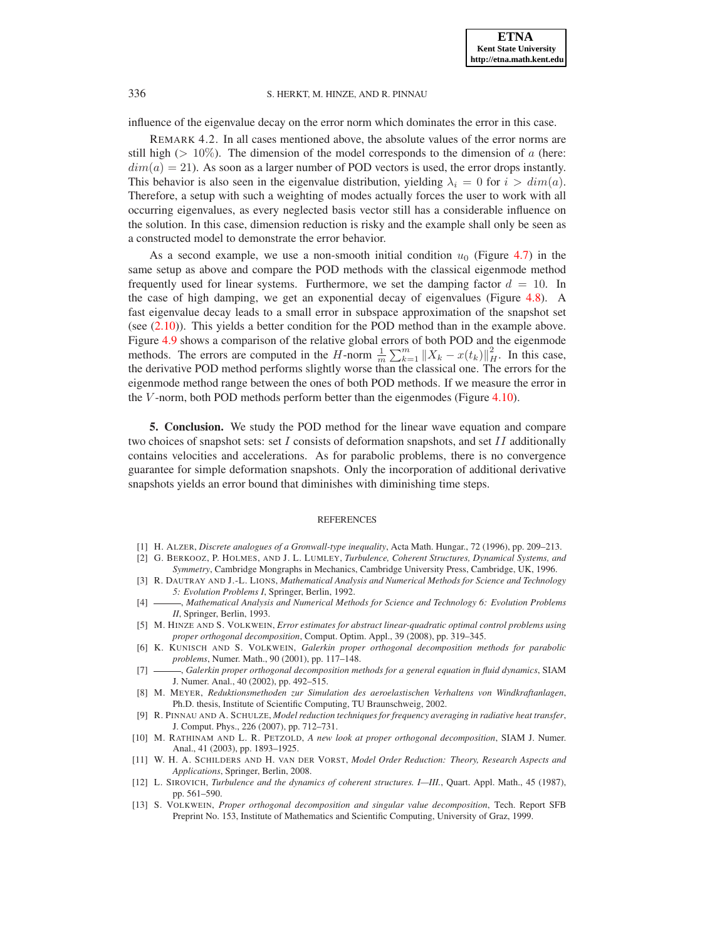influence of the eigenvalue decay on the error norm which dominates the error in this case.

REMARK 4.2. In all cases mentioned above, the absolute values of the error norms are still high ( $> 10\%$ ). The dimension of the model corresponds to the dimension of a (here:  $dim(a) = 21$ . As soon as a larger number of POD vectors is used, the error drops instantly. This behavior is also seen in the eigenvalue distribution, yielding  $\lambda_i = 0$  for  $i > dim(a)$ . Therefore, a setup with such a weighting of modes actually forces the user to work with all occurring eigenvalues, as every neglected basis vector still has a considerable influence on the solution. In this case, dimension reduction is risky and the example shall only be seen as a constructed model to demonstrate the error behavior.

As a second example, we use a non-smooth initial condition  $u_0$  (Figure [4.7\)](#page-14-0) in the same setup as above and compare the POD methods with the classical eigenmode method frequently used for linear systems. Furthermore, we set the damping factor  $d = 10$ . In the case of high damping, we get an exponential decay of eigenvalues (Figure [4.8\)](#page-14-1). A fast eigenvalue decay leads to a small error in subspace approximation of the snapshot set (see  $(2.10)$ ). This yields a better condition for the POD method than in the example above. Figure [4.9](#page-14-2) shows a comparison of the relative global errors of both POD and the eigenmode methods. The errors are computed in the H-norm  $\frac{1}{m} \sum_{k=1}^{m} ||X_k - x(t_k)||_H^2$ . In this case, the derivative POD method performs slightly worse than the classical one. The errors for the eigenmode method range between the ones of both POD methods. If we measure the error in the V-norm, both POD methods perform better than the eigenmodes (Figure [4.10\)](#page-14-3).

5. Conclusion. We study the POD method for the linear wave equation and compare two choices of snapshot sets: set I consists of deformation snapshots, and set II additionally contains velocities and accelerations. As for parabolic problems, there is no convergence guarantee for simple deformation snapshots. Only the incorporation of additional derivative snapshots yields an error bound that diminishes with diminishing time steps.

#### REFERENCES

- <span id="page-15-12"></span>[1] H. ALZER, *Discrete analogues of a Gronwall-type inequality*, Acta Math. Hungar., 72 (1996), pp. 209–213.
- <span id="page-15-3"></span>[2] G. BERKOOZ, P. HOLMES, AND J. L. LUMLEY, *Turbulence, Coherent Structures, Dynamical Systems, and*
- <span id="page-15-8"></span>*Symmetry*, Cambridge Mongraphs in Mechanics, Cambridge University Press, Cambridge, UK, 1996. [3] R. DAUTRAY AND J.-L. LIONS, *Mathematical Analysis and Numerical Methods for Science and Technology 5: Evolution Problems I*, Springer, Berlin, 1992.
- <span id="page-15-7"></span>[4] , *Mathematical Analysis and Numerical Methods for Science and Technology 6: Evolution Problems II*, Springer, Berlin, 1993.
- <span id="page-15-4"></span>[5] M. HINZE AND S. VOLKWEIN, *Error estimates for abstract linear-quadratic optimal control problems using proper orthogonal decomposition*, Comput. Optim. Appl., 39 (2008), pp. 319–345.
- <span id="page-15-5"></span>[6] K. KUNISCH AND S. VOLKWEIN, *Galerkin proper orthogonal decomposition methods for parabolic problems*, Numer. Math., 90 (2001), pp. 117–148.
- <span id="page-15-6"></span>[7] , *Galerkin proper orthogonal decomposition methods for a general equation in fluid dynamics*, SIAM J. Numer. Anal., 40 (2002), pp. 492–515.
- <span id="page-15-1"></span>[8] M. MEYER, *Reduktionsmethoden zur Simulation des aeroelastischen Verhaltens von Windkraftanlagen*, Ph.D. thesis, Institute of Scientific Computing, TU Braunschweig, 2002.
- <span id="page-15-0"></span>[9] R. PINNAU AND A. SCHULZE, *Model reduction techniques for frequency averaging in radiative heat transfer*, J. Comput. Phys., 226 (2007), pp. 712–731.
- <span id="page-15-10"></span>[10] M. RATHINAM AND L. R. PETZOLD, *A new look at proper orthogonal decomposition*, SIAM J. Numer. Anal., 41 (2003), pp. 1893–1925.
- <span id="page-15-2"></span>[11] W. H. A. SCHILDERS AND H. VAN DER VORST, *Model Order Reduction: Theory, Research Aspects and Applications*, Springer, Berlin, 2008.
- <span id="page-15-9"></span>[12] L. SIROVICH, *Turbulence and the dynamics of coherent structures. I—III.*, Quart. Appl. Math., 45 (1987), pp. 561–590.
- <span id="page-15-11"></span>[13] S. VOLKWEIN, *Proper orthogonal decomposition and singular value decomposition*, Tech. Report SFB Preprint No. 153, Institute of Mathematics and Scientific Computing, University of Graz, 1999.